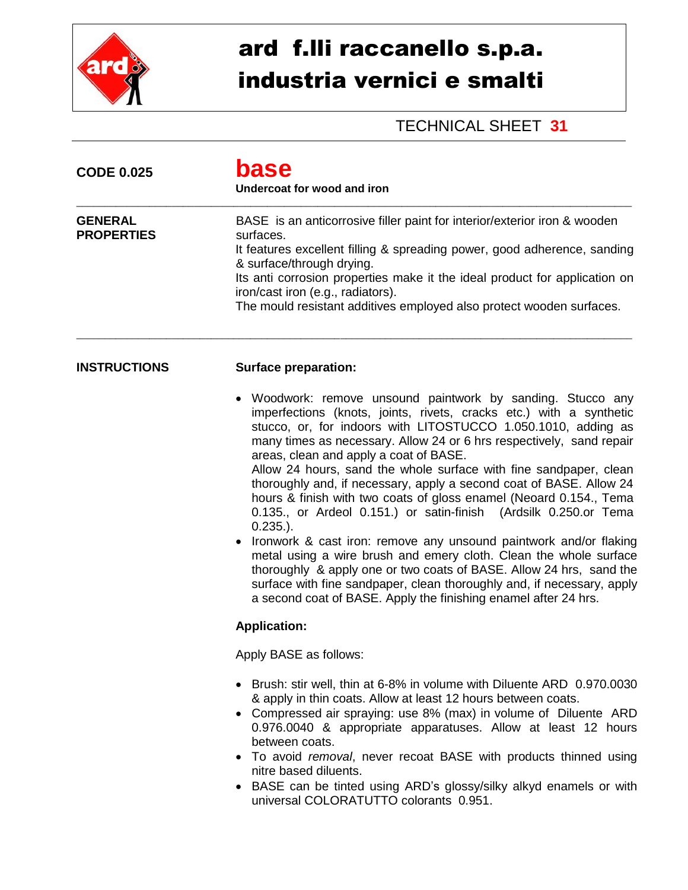

## ard f.lli raccanello s.p.a. industria vernici e smalti

## TECHNICAL SHEET **31**

| <b>CODE 0.025</b>                   | base<br>Undercoat for wood and iron<br>BASE is an anticorrosive filler paint for interior/exterior iron & wooden<br>surfaces.<br>It features excellent filling & spreading power, good adherence, sanding<br>& surface/through drying.<br>Its anti corrosion properties make it the ideal product for application on<br>iron/cast iron (e.g., radiators).<br>The mould resistant additives employed also protect wooden surfaces.                                                                                                                                                                                                                                                                                                                                                                                                                                                                                                                                                                                            |  |  |
|-------------------------------------|------------------------------------------------------------------------------------------------------------------------------------------------------------------------------------------------------------------------------------------------------------------------------------------------------------------------------------------------------------------------------------------------------------------------------------------------------------------------------------------------------------------------------------------------------------------------------------------------------------------------------------------------------------------------------------------------------------------------------------------------------------------------------------------------------------------------------------------------------------------------------------------------------------------------------------------------------------------------------------------------------------------------------|--|--|
| <b>GENERAL</b><br><b>PROPERTIES</b> |                                                                                                                                                                                                                                                                                                                                                                                                                                                                                                                                                                                                                                                                                                                                                                                                                                                                                                                                                                                                                              |  |  |
| <b>INSTRUCTIONS</b>                 | <b>Surface preparation:</b>                                                                                                                                                                                                                                                                                                                                                                                                                                                                                                                                                                                                                                                                                                                                                                                                                                                                                                                                                                                                  |  |  |
|                                     | • Woodwork: remove unsound paintwork by sanding. Stucco any<br>imperfections (knots, joints, rivets, cracks etc.) with a synthetic<br>stucco, or, for indoors with LITOSTUCCO 1.050.1010, adding as<br>many times as necessary. Allow 24 or 6 hrs respectively, sand repair<br>areas, clean and apply a coat of BASE.<br>Allow 24 hours, sand the whole surface with fine sandpaper, clean<br>thoroughly and, if necessary, apply a second coat of BASE. Allow 24<br>hours & finish with two coats of gloss enamel (Neoard 0.154., Tema<br>0.135., or Ardeol 0.151.) or satin-finish (Ardsilk 0.250.or Tema<br>$0.235.$ ).<br>Ironwork & cast iron: remove any unsound paintwork and/or flaking<br>$\bullet$<br>metal using a wire brush and emery cloth. Clean the whole surface<br>thoroughly & apply one or two coats of BASE. Allow 24 hrs, sand the<br>surface with fine sandpaper, clean thoroughly and, if necessary, apply<br>a second coat of BASE. Apply the finishing enamel after 24 hrs.<br><b>Application:</b> |  |  |
|                                     | Apply BASE as follows:                                                                                                                                                                                                                                                                                                                                                                                                                                                                                                                                                                                                                                                                                                                                                                                                                                                                                                                                                                                                       |  |  |
|                                     | • Brush: stir well, thin at 6-8% in volume with Diluente ARD 0.970.0030<br>& apply in thin coats. Allow at least 12 hours between coats.<br>• Compressed air spraying: use 8% (max) in volume of Diluente ARD<br>0.976.0040 & appropriate apparatuses. Allow at least 12 hours<br>between coats.<br>• To avoid removal, never recoat BASE with products thinned using<br>nitre based diluents.<br>• BASE can be tinted using ARD's glossy/silky alkyd enamels or with<br>universal COLORATUTTO colorants 0.951.                                                                                                                                                                                                                                                                                                                                                                                                                                                                                                              |  |  |